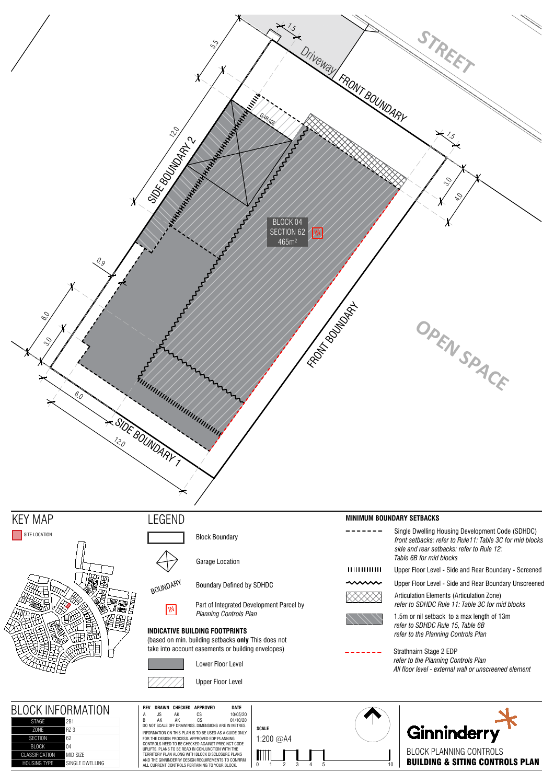